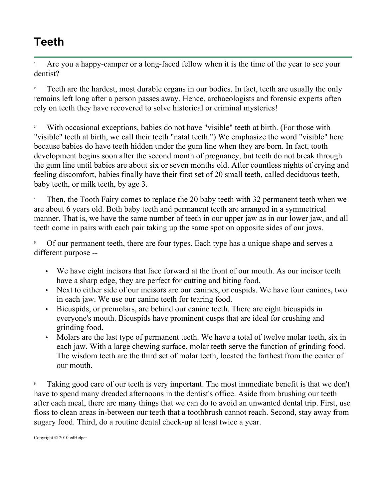## **Teeth**

1 Are you a happy-camper or a long-faced fellow when it is the time of the year to see your dentist?

2 Teeth are the hardest, most durable organs in our bodies. In fact, teeth are usually the only remains left long after a person passes away. Hence, archaeologists and forensic experts often rely on teeth they have recovered to solve historical or criminal mysteries!

3 With occasional exceptions, babies do not have "visible" teeth at birth. (For those with "visible" teeth at birth, we call their teeth "natal teeth.") We emphasize the word "visible" here because babies do have teeth hidden under the gum line when they are born. In fact, tooth development begins soon after the second month of pregnancy, but teeth do not break through the gum line until babies are about six or seven months old. After countless nights of crying and feeling discomfort, babies finally have their first set of 20 small teeth, called deciduous teeth, baby teeth, or milk teeth, by age 3.

4 Then, the Tooth Fairy comes to replace the 20 baby teeth with 32 permanent teeth when we are about 6 years old. Both baby teeth and permanent teeth are arranged in a symmetrical manner. That is, we have the same number of teeth in our upper jaw as in our lower jaw, and all teeth come in pairs with each pair taking up the same spot on opposite sides of our jaws.

5 Of our permanent teeth, there are four types. Each type has a unique shape and serves a different purpose --

- We have eight incisors that face forward at the front of our mouth. As our incisor teeth have a sharp edge, they are perfect for cutting and biting food.
- Next to either side of our incisors are our canines, or cuspids. We have four canines, two in each jaw. We use our canine teeth for tearing food.
- Bicuspids, or premolars, are behind our canine teeth. There are eight bicuspids in everyone's mouth. Bicuspids have prominent cusps that are ideal for crushing and grinding food.
- Molars are the last type of permanent teeth. We have a total of twelve molar teeth, six in each jaw. With a large chewing surface, molar teeth serve the function of grinding food. The wisdom teeth are the third set of molar teeth, located the farthest from the center of our mouth.

6 Taking good care of our teeth is very important. The most immediate benefit is that we don't have to spend many dreaded afternoons in the dentist's office. Aside from brushing our teeth after each meal, there are many things that we can do to avoid an unwanted dental trip. First, use floss to clean areas in-between our teeth that a toothbrush cannot reach. Second, stay away from sugary food. Third, do a routine dental check-up at least twice a year.

Copyright © 2010 edHelper